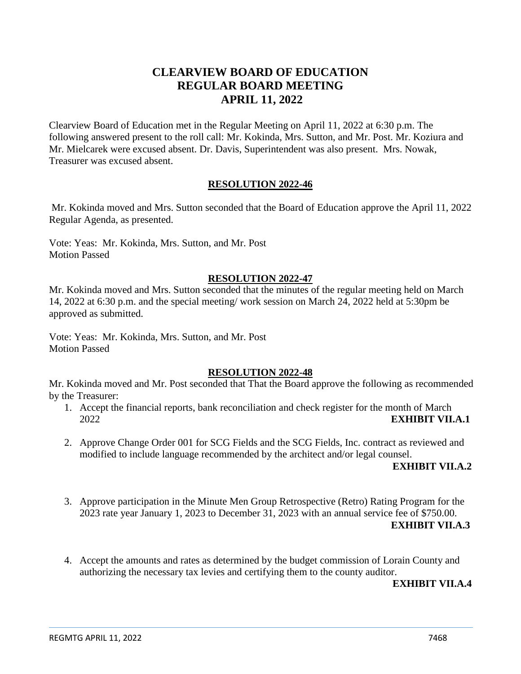# **CLEARVIEW BOARD OF EDUCATION REGULAR BOARD MEETING APRIL 11, 2022**

Clearview Board of Education met in the Regular Meeting on April 11, 2022 at 6:30 p.m. The following answered present to the roll call: Mr. Kokinda, Mrs. Sutton, and Mr. Post. Mr. Koziura and Mr. Mielcarek were excused absent. Dr. Davis, Superintendent was also present. Mrs. Nowak, Treasurer was excused absent.

### **RESOLUTION 2022-46**

Mr. Kokinda moved and Mrs. Sutton seconded that the Board of Education approve the April 11, 2022 Regular Agenda, as presented.

Vote: Yeas: Mr. Kokinda, Mrs. Sutton, and Mr. Post Motion Passed

### **RESOLUTION 2022-47**

Mr. Kokinda moved and Mrs. Sutton seconded that the minutes of the regular meeting held on March 14, 2022 at 6:30 p.m. and the special meeting/ work session on March 24, 2022 held at 5:30pm be approved as submitted.

Vote: Yeas: Mr. Kokinda, Mrs. Sutton, and Mr. Post Motion Passed

### **RESOLUTION 2022-48**

Mr. Kokinda moved and Mr. Post seconded that That the Board approve the following as recommended by the Treasurer:

- 1. Accept the financial reports, bank reconciliation and check register for the month of March 2022 **EXHIBIT VII.A.1**
- 2. Approve Change Order 001 for SCG Fields and the SCG Fields, Inc. contract as reviewed and modified to include language recommended by the architect and/or legal counsel.

### **EXHIBIT VII.A.2**

3. Approve participation in the Minute Men Group Retrospective (Retro) Rating Program for the 2023 rate year January 1, 2023 to December 31, 2023 with an annual service fee of \$750.00.

#### **EXHIBIT VII.A.3**

4. Accept the amounts and rates as determined by the budget commission of Lorain County and authorizing the necessary tax levies and certifying them to the county auditor.

### **EXHIBIT VII.A.4**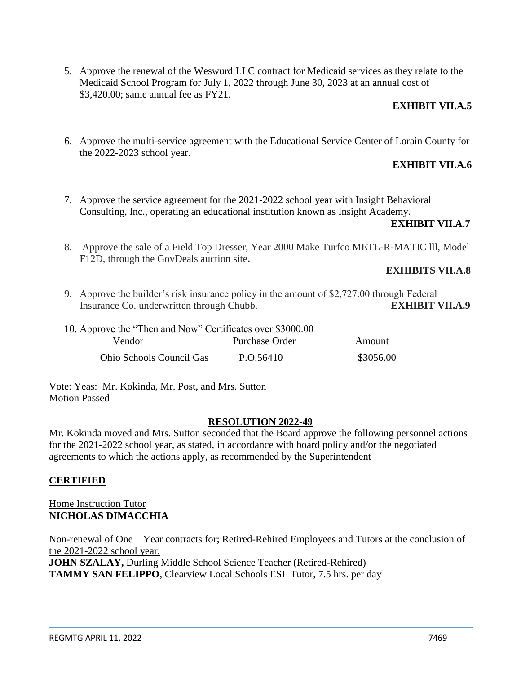5. Approve the renewal of the Weswurd LLC contract for Medicaid services as they relate to the Medicaid School Program for July 1, 2022 through June 30, 2023 at an annual cost of \$3,420.00; same annual fee as FY21.

### **EXHIBIT VII.A.5**

6. Approve the multi-service agreement with the Educational Service Center of Lorain County for the 2022-2023 school year.

### **EXHIBIT VII.A.6**

7. Approve the service agreement for the 2021-2022 school year with Insight Behavioral Consulting, Inc., operating an educational institution known as Insight Academy.

### **EXHIBIT VII.A.7**

8. Approve the sale of a Field Top Dresser, Year 2000 Make Turfco METE-R-MATIC lll, Model F12D, through the GovDeals auction site**.**

### **EXHIBITS VII.A.8**

9. Approve the builder's risk insurance policy in the amount of \$2,727.00 through Federal Insurance Co. underwritten through Chubb. **EXHIBIT VII.A.9**

| 10. Approve the "Then and Now" Certificates over \$3000.00 |                |           |
|------------------------------------------------------------|----------------|-----------|
| Vendor                                                     | Purchase Order | Amount    |
| Ohio Schools Council Gas                                   | P.O.56410      | \$3056.00 |

Vote: Yeas: Mr. Kokinda, Mr. Post, and Mrs. Sutton Motion Passed

### **RESOLUTION 2022-49**

Mr. Kokinda moved and Mrs. Sutton seconded that the Board approve the following personnel actions for the 2021-2022 school year, as stated, in accordance with board policy and/or the negotiated agreements to which the actions apply, as recommended by the Superintendent

# **CERTIFIED**

Home Instruction Tutor **NICHOLAS DIMACCHIA**

Non-renewal of One – Year contracts for; Retired-Rehired Employees and Tutors at the conclusion of the 2021-2022 school year.

**JOHN SZALAY,** Durling Middle School Science Teacher (Retired-Rehired) **TAMMY SAN FELIPPO**, Clearview Local Schools ESL Tutor, 7.5 hrs. per day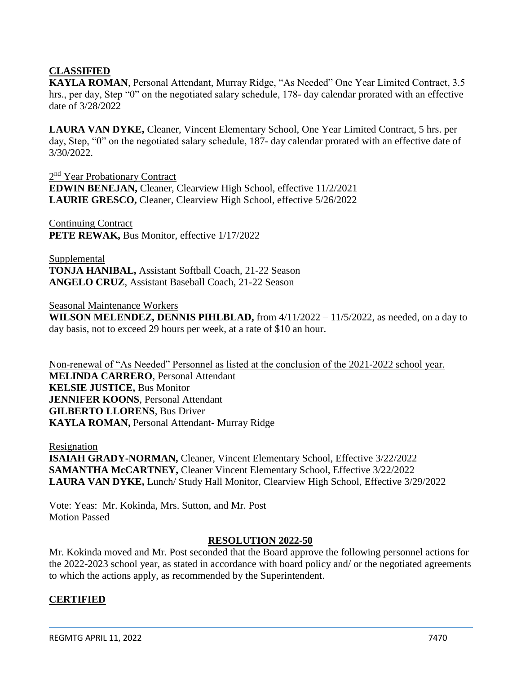# **CLASSIFIED**

**KAYLA ROMAN**, Personal Attendant, Murray Ridge, "As Needed" One Year Limited Contract, 3.5 hrs., per day, Step "0" on the negotiated salary schedule, 178- day calendar prorated with an effective date of 3/28/2022

**LAURA VAN DYKE,** Cleaner, Vincent Elementary School, One Year Limited Contract, 5 hrs. per day, Step, "0" on the negotiated salary schedule, 187- day calendar prorated with an effective date of 3/30/2022.

2<sup>nd</sup> Year Probationary Contract **EDWIN BENEJAN,** Cleaner, Clearview High School, effective 11/2/2021 **LAURIE GRESCO,** Cleaner, Clearview High School, effective 5/26/2022

Continuing Contract **PETE REWAK,** Bus Monitor, effective 1/17/2022

Supplemental **TONJA HANIBAL,** Assistant Softball Coach, 21-22 Season **ANGELO CRUZ**, Assistant Baseball Coach, 21-22 Season

Seasonal Maintenance Workers **WILSON MELENDEZ, DENNIS PIHLBLAD,** from 4/11/2022 – 11/5/2022, as needed, on a day to day basis, not to exceed 29 hours per week, at a rate of \$10 an hour.

Non-renewal of "As Needed" Personnel as listed at the conclusion of the 2021-2022 school year. **MELINDA CARRERO**, Personal Attendant **KELSIE JUSTICE,** Bus Monitor **JENNIFER KOONS**, Personal Attendant **GILBERTO LLORENS**, Bus Driver **KAYLA ROMAN,** Personal Attendant- Murray Ridge

Resignation **ISAIAH GRADY-NORMAN,** Cleaner, Vincent Elementary School, Effective 3/22/2022 **SAMANTHA McCARTNEY,** Cleaner Vincent Elementary School, Effective 3/22/2022 **LAURA VAN DYKE,** Lunch/ Study Hall Monitor, Clearview High School, Effective 3/29/2022

Vote: Yeas: Mr. Kokinda, Mrs. Sutton, and Mr. Post Motion Passed

### **RESOLUTION 2022-50**

Mr. Kokinda moved and Mr. Post seconded that the Board approve the following personnel actions for the 2022-2023 school year, as stated in accordance with board policy and/ or the negotiated agreements to which the actions apply, as recommended by the Superintendent.

# **CERTIFIED**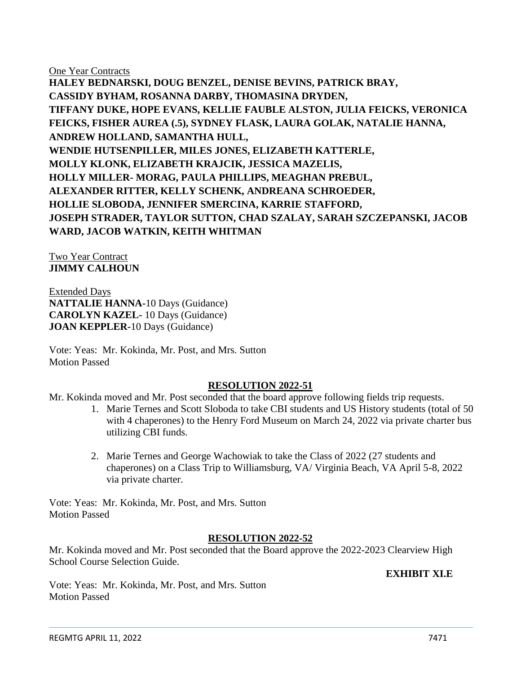One Year Contracts

**HALEY BEDNARSKI, DOUG BENZEL, DENISE BEVINS, PATRICK BRAY, CASSIDY BYHAM, ROSANNA DARBY, THOMASINA DRYDEN, TIFFANY DUKE, HOPE EVANS, KELLIE FAUBLE ALSTON, JULIA FEICKS, VERONICA FEICKS, FISHER AUREA (.5), SYDNEY FLASK, LAURA GOLAK, NATALIE HANNA, ANDREW HOLLAND, SAMANTHA HULL, WENDIE HUTSENPILLER, MILES JONES, ELIZABETH KATTERLE, MOLLY KLONK, ELIZABETH KRAJCIK, JESSICA MAZELIS, HOLLY MILLER- MORAG, PAULA PHILLIPS, MEAGHAN PREBUL, ALEXANDER RITTER, KELLY SCHENK, ANDREANA SCHROEDER, HOLLIE SLOBODA, JENNIFER SMERCINA, KARRIE STAFFORD, JOSEPH STRADER, TAYLOR SUTTON, CHAD SZALAY, SARAH SZCZEPANSKI, JACOB WARD, JACOB WATKIN, KEITH WHITMAN**

Two Year Contract **JIMMY CALHOUN**

Extended Days **NATTALIE HANNA-**10 Days (Guidance) **CAROLYN KAZEL-** 10 Days (Guidance) **JOAN KEPPLER-**10 Days (Guidance)

Vote: Yeas: Mr. Kokinda, Mr. Post, and Mrs. Sutton Motion Passed

# **RESOLUTION 2022-51**

Mr. Kokinda moved and Mr. Post seconded that the board approve following fields trip requests.

- 1. Marie Ternes and Scott Sloboda to take CBI students and US History students (total of 50 with 4 chaperones) to the Henry Ford Museum on March 24, 2022 via private charter bus utilizing CBI funds.
- 2. Marie Ternes and George Wachowiak to take the Class of 2022 (27 students and chaperones) on a Class Trip to Williamsburg, VA/ Virginia Beach, VA April 5-8, 2022 via private charter.

Vote: Yeas: Mr. Kokinda, Mr. Post, and Mrs. Sutton Motion Passed

### **RESOLUTION 2022-52**

Mr. Kokinda moved and Mr. Post seconded that the Board approve the 2022-2023 Clearview High School Course Selection Guide.

**EXHIBIT XI.E**

Vote: Yeas: Mr. Kokinda, Mr. Post, and Mrs. Sutton Motion Passed